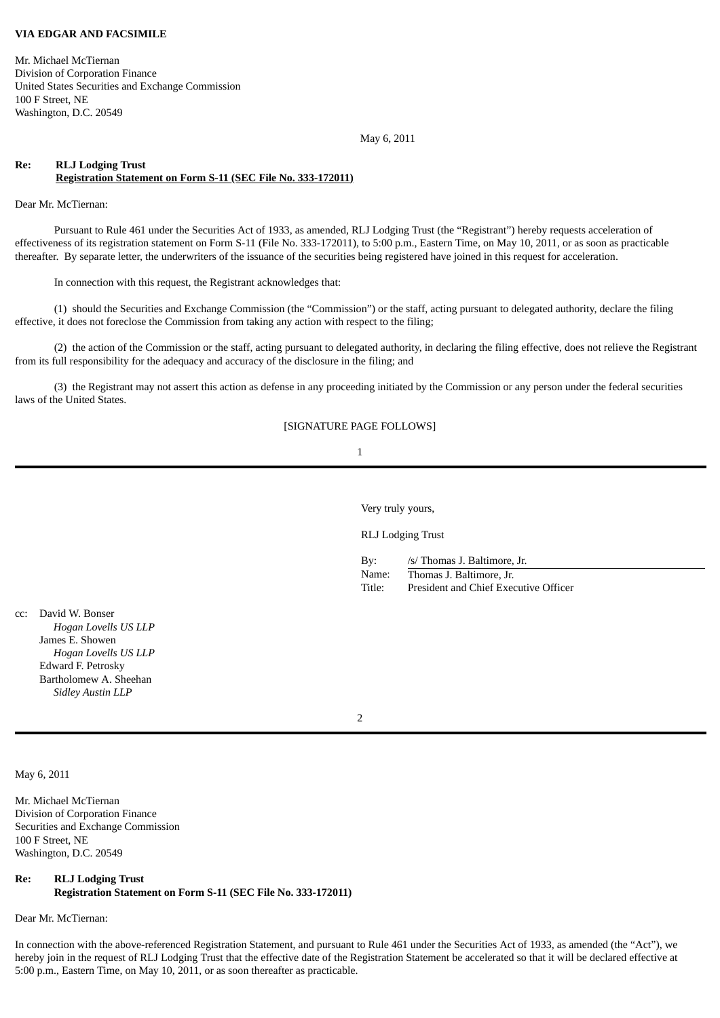# **VIA EDGAR AND FACSIMILE**

Mr. Michael McTiernan Division of Corporation Finance United States Securities and Exchange Commission 100 F Street, NE Washington, D.C. 20549

May 6, 2011

# **Re: RLJ Lodging Trust Registration Statement on Form S-11 (SEC File No. 333-172011)**

Dear Mr. McTiernan:

Pursuant to Rule 461 under the Securities Act of 1933, as amended, RLJ Lodging Trust (the "Registrant") hereby requests acceleration of effectiveness of its registration statement on Form S-11 (File No. 333-172011), to 5:00 p.m., Eastern Time, on May 10, 2011, or as soon as practicable thereafter. By separate letter, the underwriters of the issuance of the securities being registered have joined in this request for acceleration.

In connection with this request, the Registrant acknowledges that:

(1) should the Securities and Exchange Commission (the "Commission") or the staff, acting pursuant to delegated authority, declare the filing effective, it does not foreclose the Commission from taking any action with respect to the filing;

(2) the action of the Commission or the staff, acting pursuant to delegated authority, in declaring the filing effective, does not relieve the Registrant from its full responsibility for the adequacy and accuracy of the disclosure in the filing; and

(3) the Registrant may not assert this action as defense in any proceeding initiated by the Commission or any person under the federal securities laws of the United States.

#### [SIGNATURE PAGE FOLLOWS]

### 1

Very truly yours,

RLJ Lodging Trust

By: /s/ Thomas J. Baltimore, Jr.

Name: Thomas J. Baltimore, Jr. Title: President and Chief Executive Officer

cc: David W. Bonser *Hogan Lovells US LLP* James E. Showen *Hogan Lovells US LLP* Edward F. Petrosky Bartholomew A. Sheehan *Sidley Austin LLP*

2

May 6, 2011

Mr. Michael McTiernan Division of Corporation Finance Securities and Exchange Commission 100 F Street, NE Washington, D.C. 20549

### **Re: RLJ Lodging Trust**

**Registration Statement on Form S-11 (SEC File No. 333-172011)**

Dear Mr. McTiernan:

In connection with the above-referenced Registration Statement, and pursuant to Rule 461 under the Securities Act of 1933, as amended (the "Act"), we hereby join in the request of RLJ Lodging Trust that the effective date of the Registration Statement be accelerated so that it will be declared effective at 5:00 p.m., Eastern Time, on May 10, 2011, or as soon thereafter as practicable.